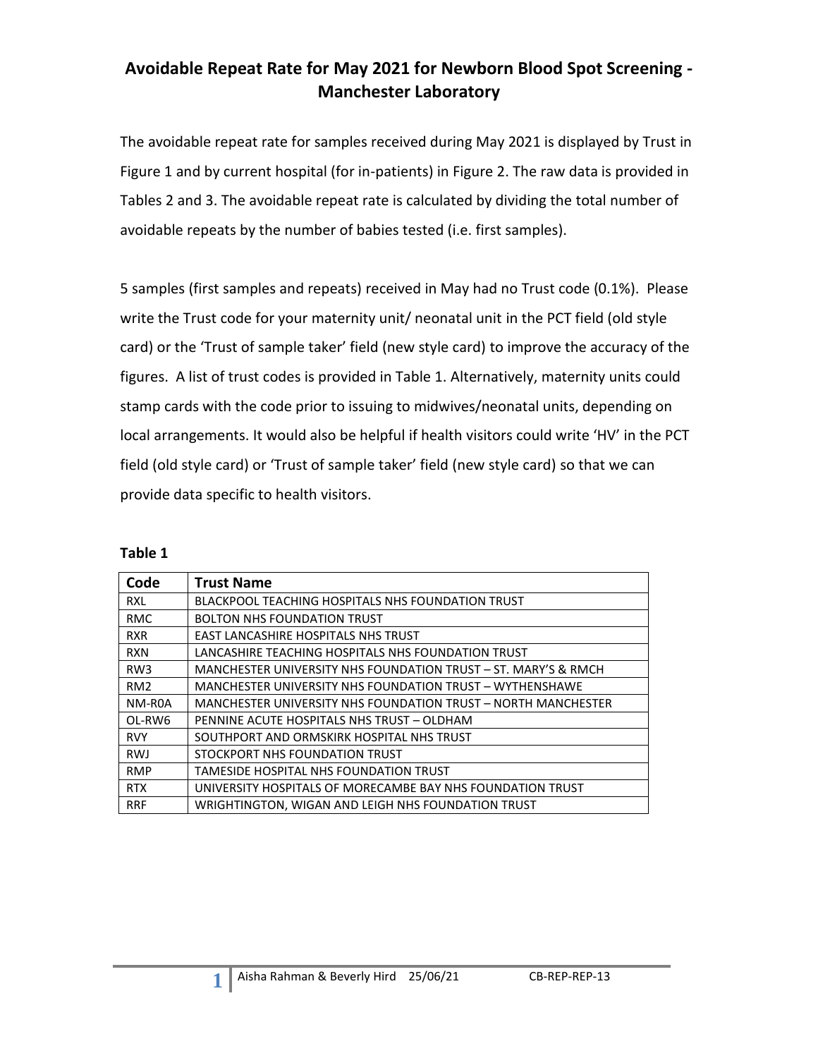### **Avoidable Repeat Rate for May 2021 for Newborn Blood Spot Screening - Manchester Laboratory**

The avoidable repeat rate for samples received during May 2021 is displayed by Trust in Figure 1 and by current hospital (for in-patients) in Figure 2. The raw data is provided in Tables 2 and 3. The avoidable repeat rate is calculated by dividing the total number of avoidable repeats by the number of babies tested (i.e. first samples).

5 samples (first samples and repeats) received in May had no Trust code (0.1%). Please write the Trust code for your maternity unit/ neonatal unit in the PCT field (old style card) or the 'Trust of sample taker' field (new style card) to improve the accuracy of the figures. A list of trust codes is provided in Table 1. Alternatively, maternity units could stamp cards with the code prior to issuing to midwives/neonatal units, depending on local arrangements. It would also be helpful if health visitors could write 'HV' in the PCT field (old style card) or 'Trust of sample taker' field (new style card) so that we can provide data specific to health visitors.

| Code            | <b>Trust Name</b>                                              |
|-----------------|----------------------------------------------------------------|
| <b>RXL</b>      | <b>BLACKPOOL TEACHING HOSPITALS NHS FOUNDATION TRUST</b>       |
| <b>RMC</b>      | <b>BOLTON NHS FOUNDATION TRUST</b>                             |
| <b>RXR</b>      | <b>EAST LANCASHIRE HOSPITALS NHS TRUST</b>                     |
| <b>RXN</b>      | LANCASHIRE TEACHING HOSPITALS NHS FOUNDATION TRUST             |
| RW <sub>3</sub> | MANCHESTER UNIVERSITY NHS FOUNDATION TRUST – ST. MARY'S & RMCH |
| RM <sub>2</sub> | MANCHESTER UNIVERSITY NHS FOUNDATION TRUST - WYTHENSHAWE       |
| NM-R0A          | MANCHESTER UNIVERSITY NHS FOUNDATION TRUST - NORTH MANCHESTER  |
| OL-RW6          | PENNINE ACUTE HOSPITALS NHS TRUST - OLDHAM                     |
| <b>RVY</b>      | SOUTHPORT AND ORMSKIRK HOSPITAL NHS TRUST                      |
| <b>RWJ</b>      | STOCKPORT NHS FOUNDATION TRUST                                 |
| <b>RMP</b>      | TAMESIDE HOSPITAL NHS FOUNDATION TRUST                         |
| <b>RTX</b>      | UNIVERSITY HOSPITALS OF MORECAMBE BAY NHS FOUNDATION TRUST     |
| <b>RRF</b>      | WRIGHTINGTON, WIGAN AND LEIGH NHS FOUNDATION TRUST             |

| able |  |
|------|--|
|------|--|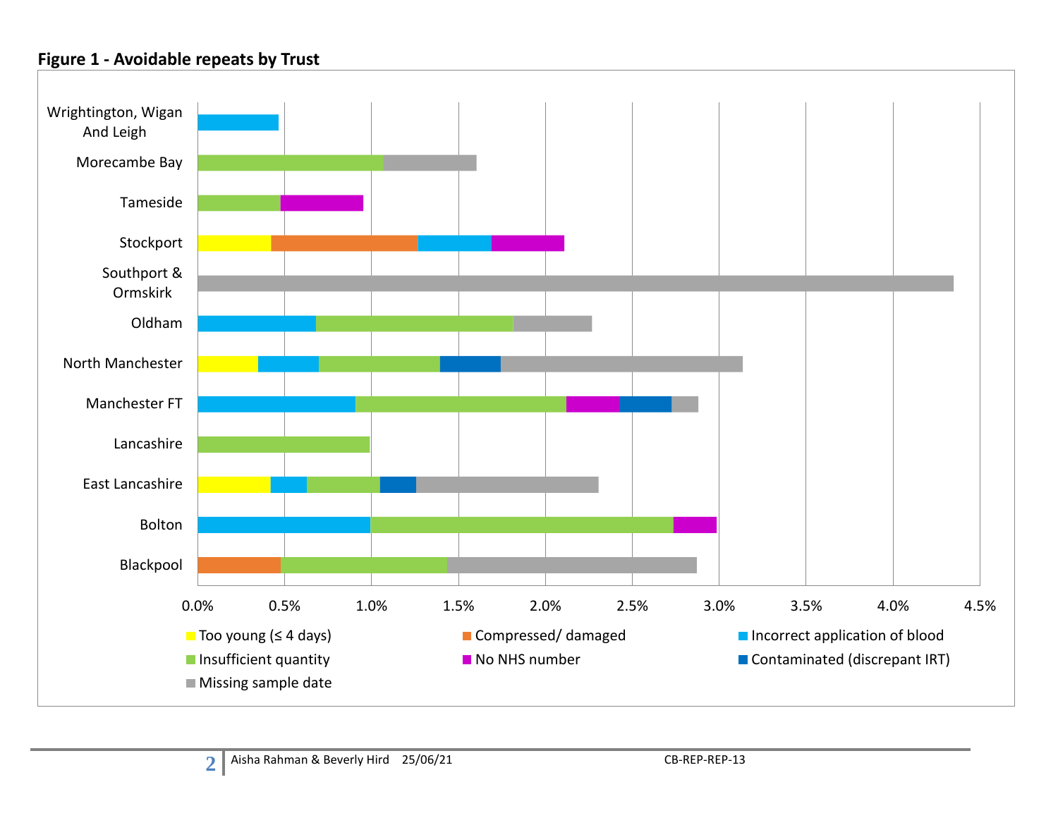### **Figure 1 - Avoidable repeats by Trust**

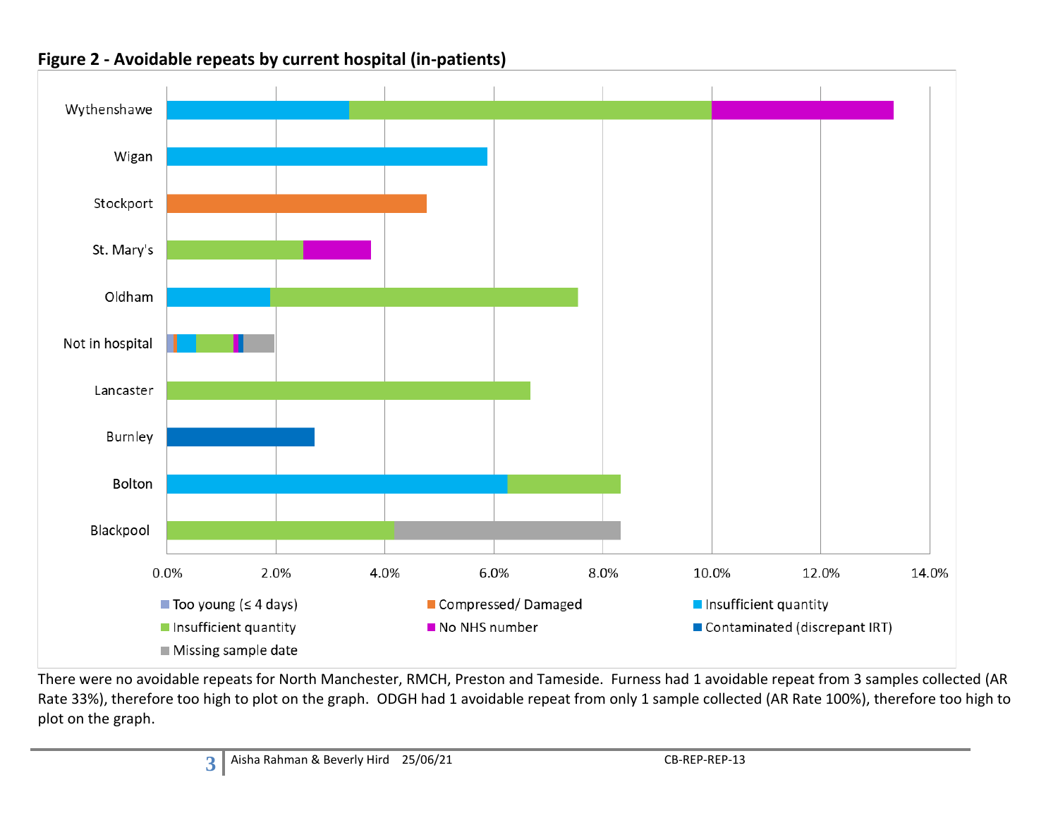

### **Figure 2 - Avoidable repeats by current hospital (in-patients)**

There were no avoidable repeats for North Manchester, RMCH, Preston and Tameside. Furness had 1 avoidable repeat from 3 samples collected (AR Rate 33%), therefore too high to plot on the graph. ODGH had 1 avoidable repeat from only 1 sample collected (AR Rate 100%), therefore too high to plot on the graph.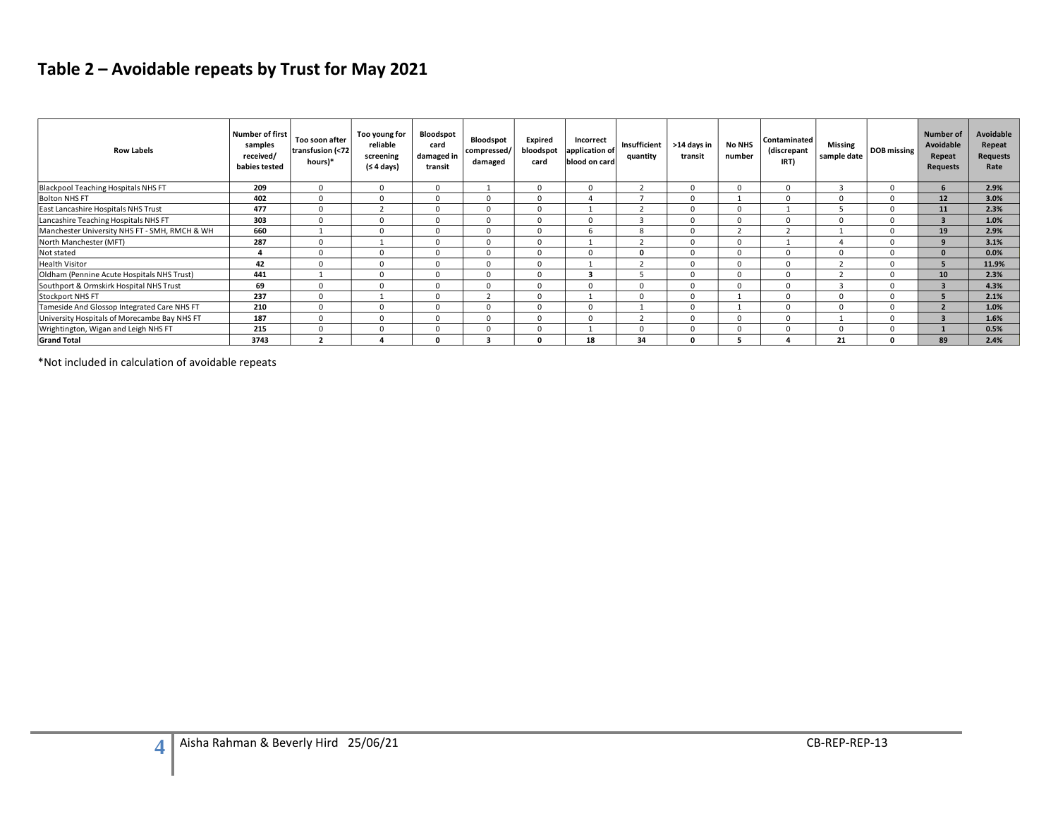# **Table 2 – Avoidable repeats by Trust for May 2021**

| <b>Row Labels</b>                             | <b>Number of first</b><br>samples<br>received/<br>babies tested | Too soon after<br>transfusion (<72<br>hours)* | Too young for<br>reliable<br>screening<br>(≤ 4 days) | <b>Bloodspot</b><br>card<br>damaged in<br>transit | Bloodspot<br>compressed/<br>damaged | Expired<br>bloodspot<br>card | Incorrect<br>application of<br>blood on card | Insufficient<br>quantity | >14 days in<br>transit | <b>No NHS</b><br>number | Contaminated<br>(discrepant<br>IRT) | <b>Missing</b><br>sample date | DOB missing | Number of<br>Avoidable<br>Repeat<br><b>Requests</b> | <b>Avoidable</b><br>Repeat<br><b>Requests</b><br>Rate |
|-----------------------------------------------|-----------------------------------------------------------------|-----------------------------------------------|------------------------------------------------------|---------------------------------------------------|-------------------------------------|------------------------------|----------------------------------------------|--------------------------|------------------------|-------------------------|-------------------------------------|-------------------------------|-------------|-----------------------------------------------------|-------------------------------------------------------|
| <b>Blackpool Teaching Hospitals NHS FT</b>    | 209                                                             | $\Omega$                                      | $\mathbf 0$                                          |                                                   |                                     | $\mathbf 0$                  | $\Omega$                                     |                          |                        | $\Omega$                |                                     | $\mathbf{3}$                  | $\Omega$    | 6                                                   | 2.9%                                                  |
| <b>Bolton NHS FT</b>                          | 402                                                             | $\Omega$                                      | $\Omega$                                             |                                                   | $\Omega$                            | 0                            |                                              |                          |                        |                         |                                     | $\Omega$                      | $\Omega$    | 12                                                  | 3.0%                                                  |
| East Lancashire Hospitals NHS Trust           | 477                                                             | $\Omega$                                      | $\overline{\phantom{a}}$                             |                                                   | $\Omega$                            | $\mathbf 0$                  |                                              |                          | <sup>0</sup>           | O                       |                                     |                               | $\Omega$    | 11                                                  | 2.3%                                                  |
| Lancashire Teaching Hospitals NHS FT          | 303                                                             | $\Omega$                                      | $\Omega$                                             |                                                   | $\Omega$                            | $\Omega$                     | $\Omega$                                     |                          |                        | n                       |                                     | $\Omega$                      | $\Omega$    |                                                     | 1.0%                                                  |
| Manchester University NHS FT - SMH, RMCH & WH | 660                                                             |                                               | $\Omega$                                             |                                                   | $\mathbf 0$                         | 0                            | Б                                            | 8                        |                        |                         |                                     |                               | $\Omega$    | 19                                                  | 2.9%                                                  |
| North Manchester (MFT)                        | 287                                                             | $\Omega$                                      |                                                      |                                                   | $\Omega$                            | $\mathbf 0$                  |                                              |                          |                        | $\Omega$                |                                     |                               | $\Omega$    |                                                     | 3.1%                                                  |
| Not stated                                    |                                                                 | $\Omega$                                      | $\mathbf 0$                                          | $\Omega$                                          | $\Omega$                            | $\mathbf 0$                  | $\Omega$                                     | O                        |                        | $\Omega$                |                                     | $\Omega$                      | $\Omega$    |                                                     | 0.0%                                                  |
| <b>Health Visitor</b>                         | 42                                                              | $\Omega$                                      | 0                                                    |                                                   | $\Omega$                            | $\mathbf 0$                  |                                              |                          |                        | $\Omega$                |                                     |                               | $\Omega$    |                                                     | 11.9%                                                 |
| Oldham (Pennine Acute Hospitals NHS Trust)    | 441                                                             |                                               | $\Omega$                                             |                                                   | $\Omega$                            | $\Omega$                     |                                              |                          |                        | $\Omega$                |                                     |                               | $\Omega$    | 10                                                  | 2.3%                                                  |
| Southport & Ormskirk Hospital NHS Trust       | 69                                                              | $\Omega$                                      | $\Omega$                                             |                                                   | $\Omega$                            | $\mathbf 0$                  |                                              | U                        |                        | $\Omega$                |                                     |                               | $\Omega$    |                                                     | 4.3%                                                  |
| Stockport NHS FT                              | 237                                                             | $\Omega$                                      |                                                      |                                                   |                                     | $\mathbf 0$                  |                                              |                          | <sup>0</sup>           |                         |                                     | $\Omega$                      | $\Omega$    |                                                     | 2.1%                                                  |
| Tameside And Glossop Integrated Care NHS FT   | 210                                                             | $\Omega$                                      | $\Omega$                                             |                                                   | $\Omega$                            | $\Omega$                     | $\Omega$                                     |                          |                        |                         |                                     | $\Omega$                      | $\Omega$    |                                                     | 1.0%                                                  |
| University Hospitals of Morecambe Bay NHS FT  | 187                                                             | $\Omega$                                      | $\Omega$                                             |                                                   | $\Omega$                            | 0                            | $\Omega$                                     |                          |                        | $\Omega$                |                                     |                               | $\Omega$    |                                                     | 1.6%                                                  |
| Wrightington, Wigan and Leigh NHS FT          | 215                                                             | $\Omega$                                      | $\Omega$                                             |                                                   | $\Omega$                            | $\Omega$                     |                                              |                          |                        | ŋ                       |                                     | $\Omega$                      | $\Omega$    |                                                     | 0.5%                                                  |
| <b>Grand Total</b>                            | 3743                                                            | $\overline{2}$                                |                                                      |                                                   |                                     | 0                            | 18                                           | 34                       |                        |                         |                                     | 21                            | n           | 89                                                  | 2.4%                                                  |

\*Not included in calculation of avoidable repeats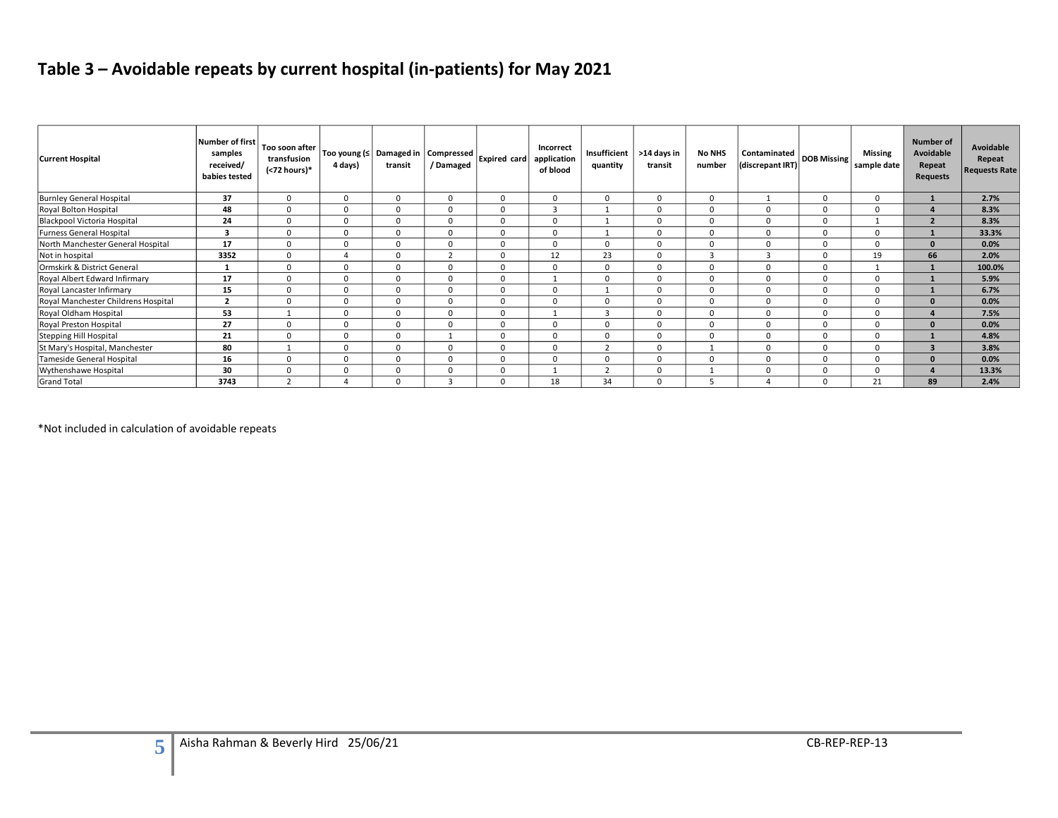## **Table 3 – Avoidable repeats by current hospital (in-patients) for May 2021**

| <b>Current Hospital</b>             | Number of first<br>samples<br>received/<br>babies tested | Too soon after<br>transfusion<br>(<72 hours)* | 4 days)        | Too young (≤   Damaged in   Compressed<br>transit | / Damaged      | <b>Expired card</b> | <b>Incorrect</b><br>application<br>of blood | Insufficient<br>quantity | >14 days in<br>transit | <b>No NHS</b><br>number | Contaminated DOB Missing<br>(discrepant IRT) |          | <b>Missing</b><br>sample date | Number of<br>Avoidable<br>Repeat<br><b>Requests</b> | Avoidable<br>Repeat<br><b>Requests Rate</b> |
|-------------------------------------|----------------------------------------------------------|-----------------------------------------------|----------------|---------------------------------------------------|----------------|---------------------|---------------------------------------------|--------------------------|------------------------|-------------------------|----------------------------------------------|----------|-------------------------------|-----------------------------------------------------|---------------------------------------------|
| <b>Burnley General Hospital</b>     | 37                                                       | $\mathbf 0$                                   | $\Omega$       | $\mathbf 0$                                       | $\mathbf 0$    | $\mathbf{0}$        | 0                                           | $\Omega$                 |                        | $\Omega$                |                                              | $\Omega$ | $\Omega$                      |                                                     | 2.7%                                        |
| Royal Bolton Hospital               | 48                                                       | $\mathbf 0$                                   | $\Omega$       | $\Omega$                                          | $\Omega$       | $\mathbf{0}$        | 3                                           | $\mathbf{1}$             | $\Omega$               | $\Omega$                | $\Omega$                                     | $\Omega$ | $\Omega$                      |                                                     | 8.3%                                        |
| Blackpool Victoria Hospital         | 24                                                       | $\mathbf 0$                                   | $\Omega$       | $\Omega$                                          | $\Omega$       | $\mathbf 0$         | $\Omega$                                    |                          |                        | $\Omega$                | $\Omega$                                     | $\Omega$ |                               | $\overline{\phantom{a}}$                            | 8.3%                                        |
| Furness General Hospital            |                                                          | $\mathbf 0$                                   | $\Omega$       | $\mathbf 0$                                       | $\Omega$       | $\mathbf 0$         | 0                                           |                          | $\Omega$               | $\Omega$                | $\mathbf 0$                                  | $\Omega$ | $\Omega$                      |                                                     | 33.3%                                       |
| North Manchester General Hospital   | 17                                                       | $\mathbf 0$                                   | $\Omega$       | $\Omega$                                          | $\Omega$       | $\mathbf 0$         | 0                                           | $\Omega$                 |                        | $\Omega$                | $\Omega$                                     | $\Omega$ | $\Omega$                      | $\sqrt{ }$                                          | 0.0%                                        |
| Not in hospital                     | 3352                                                     | $\mathbf 0$                                   | $\overline{4}$ | $\Omega$                                          | $\overline{2}$ | $\mathbf{0}$        | 12                                          | 23                       | $\Omega$               | 3                       | $\mathbf{a}$                                 | $\Omega$ | 19                            | 66                                                  | 2.0%                                        |
| Ormskirk & District General         |                                                          | $\Omega$                                      | $\Omega$       | $\Omega$                                          | $\Omega$       | $\Omega$            | $\Omega$                                    | $\Omega$                 |                        | $\Omega$                | $\Omega$                                     | $\Omega$ |                               |                                                     | 100.0%                                      |
| Royal Albert Edward Infirmary       | 17                                                       | $\mathbf 0$                                   | $\Omega$       | $\Omega$                                          | 0              | $\mathbf 0$         |                                             | $\Omega$                 |                        | $\Omega$                | $\Omega$                                     | $\Omega$ | $\Omega$                      |                                                     | 5.9%                                        |
| Royal Lancaster Infirmary           | 15                                                       | $\mathbf 0$                                   | $\Omega$       | $\Omega$                                          | $\Omega$       | $\mathbf 0$         | $\Omega$                                    |                          |                        | $\Omega$                | $\Omega$                                     | $\Omega$ | $\Omega$                      |                                                     | 6.7%                                        |
| Royal Manchester Childrens Hospital | $\overline{\mathbf{2}}$                                  | $\Omega$                                      | $\Omega$       | $\Omega$                                          | $\Omega$       | $\mathbf 0$         | 0                                           | $\Omega$                 |                        | $\Omega$                | $\Omega$                                     | $\Omega$ |                               |                                                     | 0.0%                                        |
| Royal Oldham Hospital               | 53                                                       |                                               | $\Omega$       | $\Omega$                                          | $\Omega$       | $\mathbf 0$         |                                             | $\overline{3}$           | $\Omega$               | $\Omega$                | $\Omega$                                     | $\Omega$ | $\Omega$                      |                                                     | 7.5%                                        |
| Royal Preston Hospital              | 27                                                       | $\Omega$                                      | $\Omega$       | $\Omega$                                          | $\Omega$       | $\Omega$            | 0                                           | $\Omega$                 |                        | $\Omega$                | $\Omega$                                     | $\Omega$ |                               |                                                     | 0.0%                                        |
| Stepping Hill Hospital              | 21                                                       | $\Omega$                                      | $\Omega$       | $\Omega$                                          |                | $\mathbf 0$         | $\Omega$                                    | $\Omega$                 |                        | $\Omega$                | $\Omega$                                     | $\Omega$ | $\Omega$                      |                                                     | 4.8%                                        |
| St Mary's Hospital, Manchester      | 80                                                       |                                               | $\Omega$       | $\Omega$                                          | $\Omega$       | $\Omega$            | 0                                           |                          |                        |                         | $\Omega$                                     | $\Omega$ |                               |                                                     | 3.8%                                        |
| Tameside General Hospital           | 16                                                       | $\Omega$                                      | $\Omega$       | $\Omega$                                          | $\Omega$       | $\Omega$            | 0                                           | $\Omega$                 |                        | $\Omega$                | $\Omega$                                     | $\Omega$ |                               |                                                     | 0.0%                                        |
| Wythenshawe Hospital                | 30                                                       | $\mathbf 0$                                   | $\Omega$       | $\Omega$                                          | $\Omega$       | $\mathbf 0$         |                                             |                          | $\Omega$               |                         | $\Omega$                                     | $\Omega$ | $\Omega$                      |                                                     | 13.3%                                       |
| Grand Total                         | 3743                                                     |                                               |                |                                                   |                | $\Omega$            | 18                                          | 34                       |                        |                         |                                              | $\Omega$ | 21                            | 89                                                  | 2.4%                                        |

\*Not included in calculation of avoidable repeats